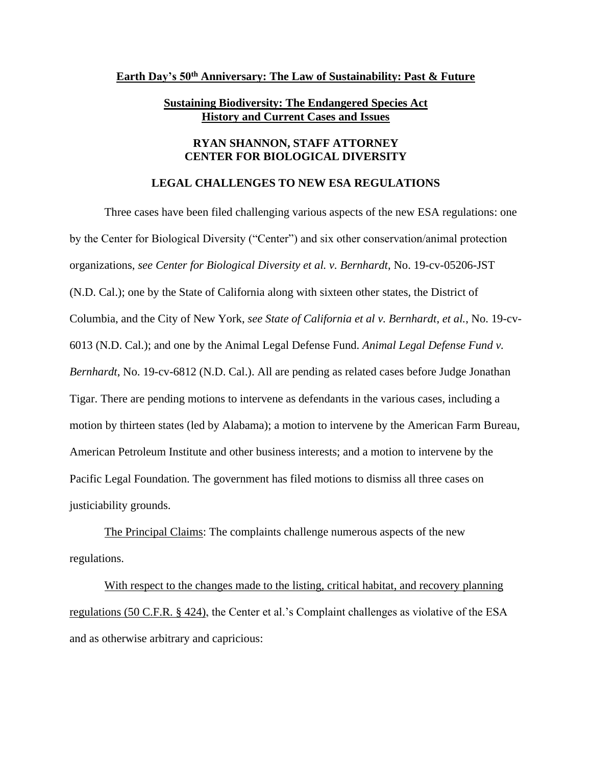## **Earth Day's 50th Anniversary: The Law of Sustainability: Past & Future**

## **Sustaining Biodiversity: The Endangered Species Act History and Current Cases and Issues**

## **RYAN SHANNON, STAFF ATTORNEY CENTER FOR BIOLOGICAL DIVERSITY**

## **LEGAL CHALLENGES TO NEW ESA REGULATIONS**

Three cases have been filed challenging various aspects of the new ESA regulations: one by the Center for Biological Diversity ("Center") and six other conservation/animal protection organizations, *see Center for Biological Diversity et al. v. Bernhardt*, No. 19-cv-05206-JST (N.D. Cal.); one by the State of California along with sixteen other states, the District of Columbia, and the City of New York, *see State of California et al v. Bernhardt*, *et al.*, No. 19-cv-6013 (N.D. Cal.); and one by the Animal Legal Defense Fund. *Animal Legal Defense Fund v. Bernhardt*, No. 19-cv-6812 (N.D. Cal.). All are pending as related cases before Judge Jonathan Tigar. There are pending motions to intervene as defendants in the various cases, including a motion by thirteen states (led by Alabama); a motion to intervene by the American Farm Bureau, American Petroleum Institute and other business interests; and a motion to intervene by the Pacific Legal Foundation. The government has filed motions to dismiss all three cases on justiciability grounds.

The Principal Claims: The complaints challenge numerous aspects of the new regulations.

With respect to the changes made to the listing, critical habitat, and recovery planning regulations (50 C.F.R. § 424), the Center et al.'s Complaint challenges as violative of the ESA and as otherwise arbitrary and capricious: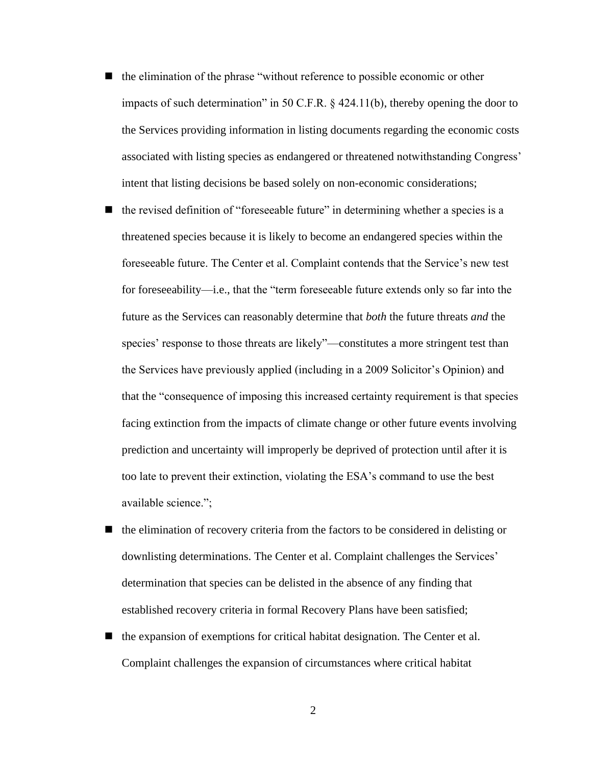- the elimination of the phrase "without reference to possible economic or other impacts of such determination" in 50 C.F.R.  $\&$  424.11(b), thereby opening the door to the Services providing information in listing documents regarding the economic costs associated with listing species as endangered or threatened notwithstanding Congress' intent that listing decisions be based solely on non-economic considerations;
- the revised definition of "foreseeable future" in determining whether a species is a threatened species because it is likely to become an endangered species within the foreseeable future. The Center et al. Complaint contends that the Service's new test for foreseeability—i.e., that the "term foreseeable future extends only so far into the future as the Services can reasonably determine that *both* the future threats *and* the species' response to those threats are likely"—constitutes a more stringent test than the Services have previously applied (including in a 2009 Solicitor's Opinion) and that the "consequence of imposing this increased certainty requirement is that species facing extinction from the impacts of climate change or other future events involving prediction and uncertainty will improperly be deprived of protection until after it is too late to prevent their extinction, violating the ESA's command to use the best available science.";
- $\blacksquare$  the elimination of recovery criteria from the factors to be considered in delisting or downlisting determinations. The Center et al. Complaint challenges the Services' determination that species can be delisted in the absence of any finding that established recovery criteria in formal Recovery Plans have been satisfied;
- the expansion of exemptions for critical habitat designation. The Center et al. Complaint challenges the expansion of circumstances where critical habitat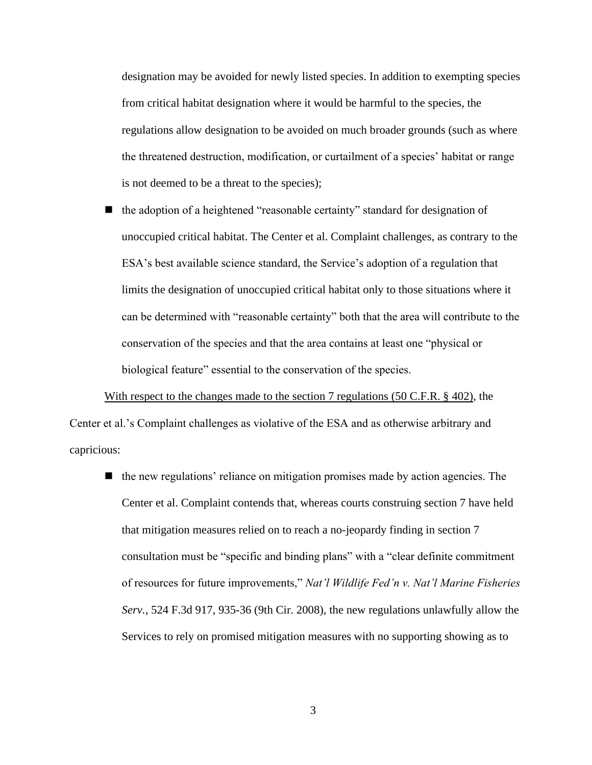designation may be avoided for newly listed species. In addition to exempting species from critical habitat designation where it would be harmful to the species, the regulations allow designation to be avoided on much broader grounds (such as where the threatened destruction, modification, or curtailment of a species' habitat or range is not deemed to be a threat to the species);

the adoption of a heightened "reasonable certainty" standard for designation of unoccupied critical habitat. The Center et al. Complaint challenges, as contrary to the ESA's best available science standard, the Service's adoption of a regulation that limits the designation of unoccupied critical habitat only to those situations where it can be determined with "reasonable certainty" both that the area will contribute to the conservation of the species and that the area contains at least one "physical or biological feature" essential to the conservation of the species.

With respect to the changes made to the section 7 regulations (50 C.F.R. § 402), the Center et al.'s Complaint challenges as violative of the ESA and as otherwise arbitrary and capricious:

 $\blacksquare$  the new regulations' reliance on mitigation promises made by action agencies. The Center et al. Complaint contends that, whereas courts construing section 7 have held that mitigation measures relied on to reach a no-jeopardy finding in section 7 consultation must be "specific and binding plans" with a "clear definite commitment of resources for future improvements," *Nat'l Wildlife Fed'n v. Nat'l Marine Fisheries Serv.*, 524 F.3d 917, 935-36 (9th Cir. 2008), the new regulations unlawfully allow the Services to rely on promised mitigation measures with no supporting showing as to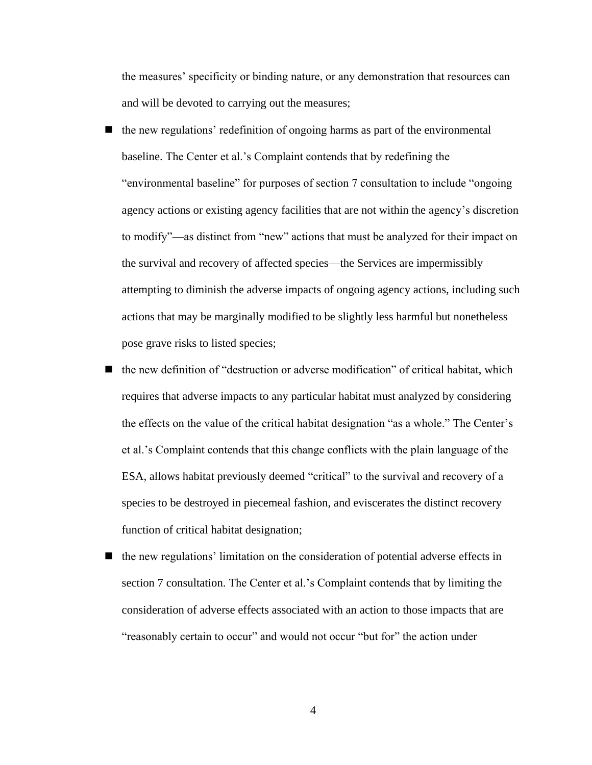the measures' specificity or binding nature, or any demonstration that resources can and will be devoted to carrying out the measures;

- the new regulations' redefinition of ongoing harms as part of the environmental baseline. The Center et al.'s Complaint contends that by redefining the "environmental baseline" for purposes of section 7 consultation to include "ongoing agency actions or existing agency facilities that are not within the agency's discretion to modify"—as distinct from "new" actions that must be analyzed for their impact on the survival and recovery of affected species—the Services are impermissibly attempting to diminish the adverse impacts of ongoing agency actions, including such actions that may be marginally modified to be slightly less harmful but nonetheless pose grave risks to listed species;
- the new definition of "destruction or adverse modification" of critical habitat, which requires that adverse impacts to any particular habitat must analyzed by considering the effects on the value of the critical habitat designation "as a whole." The Center's et al.'s Complaint contends that this change conflicts with the plain language of the ESA, allows habitat previously deemed "critical" to the survival and recovery of a species to be destroyed in piecemeal fashion, and eviscerates the distinct recovery function of critical habitat designation;
- ◼ the new regulations' limitation on the consideration of potential adverse effects in section 7 consultation. The Center et al.'s Complaint contends that by limiting the consideration of adverse effects associated with an action to those impacts that are "reasonably certain to occur" and would not occur "but for" the action under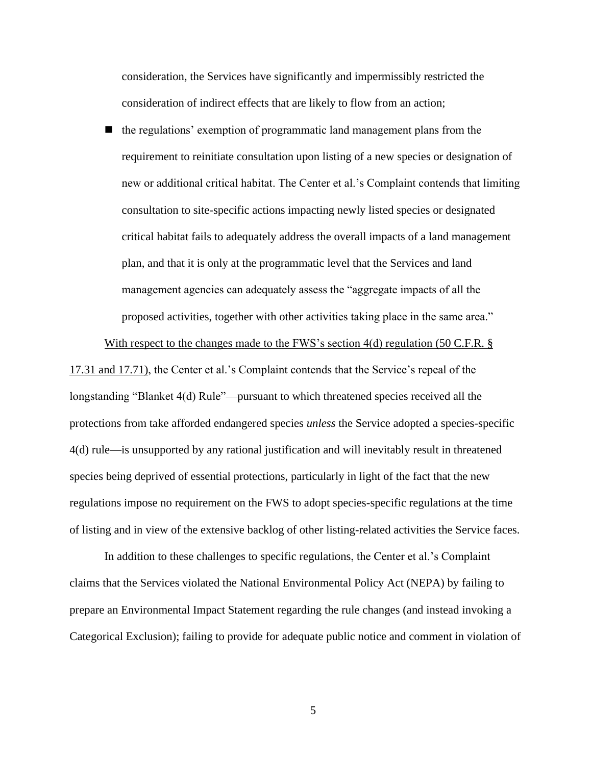consideration, the Services have significantly and impermissibly restricted the consideration of indirect effects that are likely to flow from an action;

the regulations' exemption of programmatic land management plans from the requirement to reinitiate consultation upon listing of a new species or designation of new or additional critical habitat. The Center et al.'s Complaint contends that limiting consultation to site-specific actions impacting newly listed species or designated critical habitat fails to adequately address the overall impacts of a land management plan, and that it is only at the programmatic level that the Services and land management agencies can adequately assess the "aggregate impacts of all the proposed activities, together with other activities taking place in the same area."

With respect to the changes made to the FWS's section 4(d) regulation (50 C.F.R. §

17.31 and 17.71), the Center et al.'s Complaint contends that the Service's repeal of the longstanding "Blanket 4(d) Rule"—pursuant to which threatened species received all the protections from take afforded endangered species *unless* the Service adopted a species-specific 4(d) rule—is unsupported by any rational justification and will inevitably result in threatened species being deprived of essential protections, particularly in light of the fact that the new regulations impose no requirement on the FWS to adopt species-specific regulations at the time of listing and in view of the extensive backlog of other listing-related activities the Service faces.

In addition to these challenges to specific regulations, the Center et al.'s Complaint claims that the Services violated the National Environmental Policy Act (NEPA) by failing to prepare an Environmental Impact Statement regarding the rule changes (and instead invoking a Categorical Exclusion); failing to provide for adequate public notice and comment in violation of